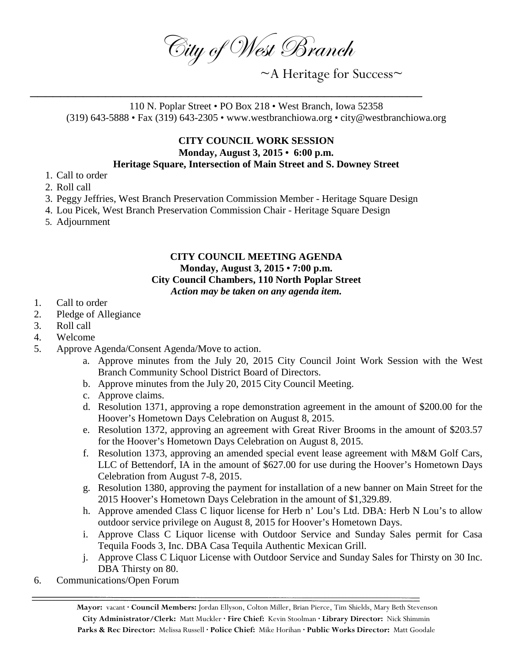City of West Branch

~A Heritage for Success~

110 N. Poplar Street • PO Box 218 • West Branch, Iowa 52358 (319) 643-5888 • Fax (319) 643-2305 • www.westbranchiowa.org • city@westbranchiowa.org

## **CITY COUNCIL WORK SESSION Monday, August 3, 2015 • 6:00 p.m.**

## **Heritage Square, Intersection of Main Street and S. Downey Street**

- 1. Call to order
- 2. Roll call
- 3. Peggy Jeffries, West Branch Preservation Commission Member Heritage Square Design

\_\_\_\_\_\_\_\_\_\_\_\_\_\_\_\_\_\_\_\_\_\_\_\_\_\_\_\_\_\_\_\_\_\_\_\_\_\_\_\_\_\_\_\_\_\_\_\_\_\_\_\_

- 4. Lou Picek, West Branch Preservation Commission Chair Heritage Square Design
- 5. Adjournment

## **CITY COUNCIL MEETING AGENDA Monday, August 3, 2015 • 7:00 p.m. City Council Chambers, 110 North Poplar Street** *Action may be taken on any agenda item.*

- 1. Call to order
- 2. Pledge of Allegiance
- 3. Roll call
- 4. Welcome
- 5. Approve Agenda/Consent Agenda/Move to action.
	- a. Approve minutes from the July 20, 2015 City Council Joint Work Session with the West Branch Community School District Board of Directors.
	- b. Approve minutes from the July 20, 2015 City Council Meeting.
	- c. Approve claims.
	- d. Resolution 1371, approving a rope demonstration agreement in the amount of \$200.00 for the Hoover's Hometown Days Celebration on August 8, 2015.
	- e. Resolution 1372, approving an agreement with Great River Brooms in the amount of \$203.57 for the Hoover's Hometown Days Celebration on August 8, 2015.
	- f. Resolution 1373, approving an amended special event lease agreement with M&M Golf Cars, LLC of Bettendorf, IA in the amount of \$627.00 for use during the Hoover's Hometown Days Celebration from August 7-8, 2015.
	- g. Resolution 1380, approving the payment for installation of a new banner on Main Street for the 2015 Hoover's Hometown Days Celebration in the amount of \$1,329.89.
	- h. Approve amended Class C liquor license for Herb n' Lou's Ltd. DBA: Herb N Lou's to allow outdoor service privilege on August 8, 2015 for Hoover's Hometown Days.
	- i. Approve Class C Liquor license with Outdoor Service and Sunday Sales permit for Casa Tequila Foods 3, Inc. DBA Casa Tequila Authentic Mexican Grill.
	- j. Approve Class C Liquor License with Outdoor Service and Sunday Sales for Thirsty on 30 Inc. DBA Thirsty on 80.
- 6. Communications/Open Forum

**Mayor:** vacant **· Council Members:** Jordan Ellyson, Colton Miller, Brian Pierce, Tim Shields, Mary Beth Stevenson **City Administrator/Clerk:** Matt Muckler **· Fire Chief:** Kevin Stoolman **· Library Director:** Nick Shimmin **Parks & Rec Director:** Melissa Russell **· Police Chief:** Mike Horihan **· Public Works Director:** Matt Goodale